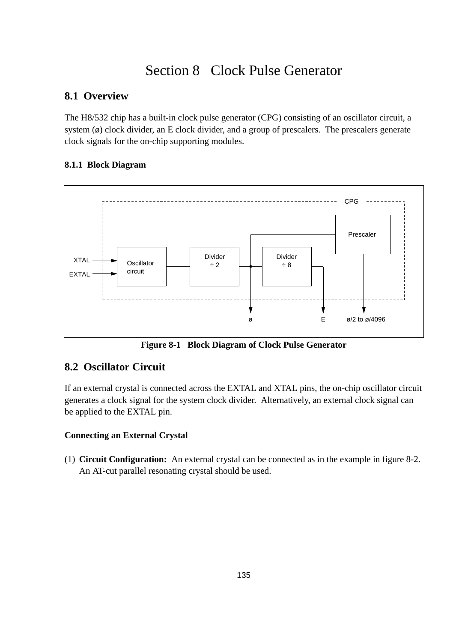# Section 8 Clock Pulse Generator

# **8.1 Overview**

The H8/532 chip has a built-in clock pulse generator (CPG) consisting of an oscillator circuit, a system  $(\emptyset)$  clock divider, an E clock divider, and a group of prescalers. The prescalers generate clock signals for the on-chip supporting modules.

## **8.1.1 Block Diagram**



**Figure 8-1 Block Diagram of Clock Pulse Generator**

# **8.2 Oscillator Circuit**

If an external crystal is connected across the EXTAL and XTAL pins, the on-chip oscillator circuit generates a clock signal for the system clock divider. Alternatively, an external clock signal can be applied to the EXTAL pin.

## **Connecting an External Crystal**

(1) **Circuit Configuration:** An external crystal can be connected as in the example in figure 8-2. An AT-cut parallel resonating crystal should be used.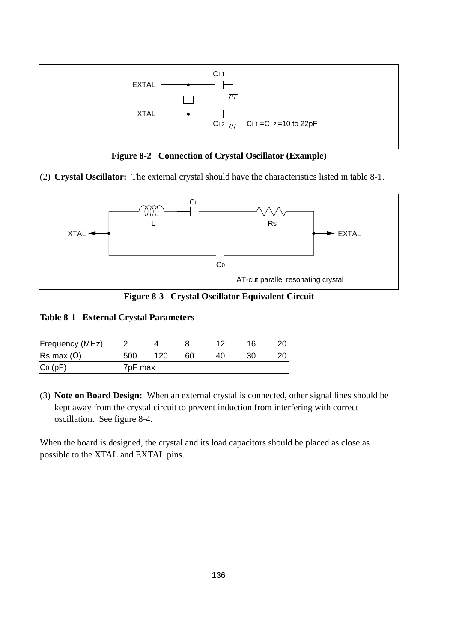

**Figure 8-2 Connection of Crystal Oscillator (Example)**

(2) **Crystal Oscillator:** The external crystal should have the characteristics listed in table 8-1.



**Figure 8-3 Crystal Oscillator Equivalent Circuit**

### **Table 8-1 External Crystal Parameters**

| Frequency (MHz)   |                     |     |    |    | 16 |  |
|-------------------|---------------------|-----|----|----|----|--|
| Rs max $(\Omega)$ | 500                 | 120 | 60 | 40 |    |  |
| Co(pF)            | 7 <sub>pF</sub> max |     |    |    |    |  |

(3) **Note on Board Design:** When an external crystal is connected, other signal lines should be kept away from the crystal circuit to prevent induction from interfering with correct oscillation. See figure 8-4.

When the board is designed, the crystal and its load capacitors should be placed as close as possible to the XTAL and EXTAL pins.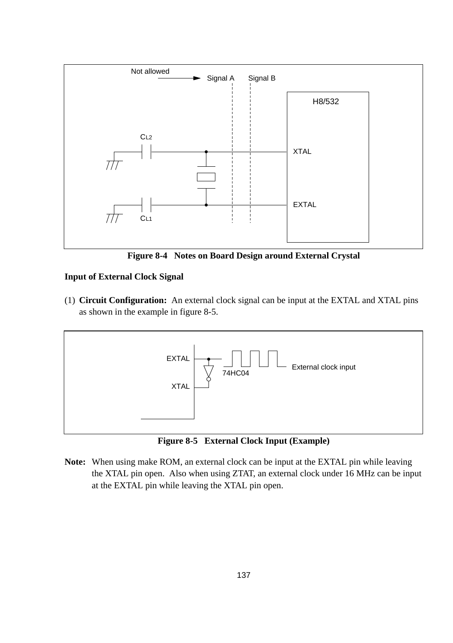

**Figure 8-4 Notes on Board Design around External Crystal**

### **Input of External Clock Signal**

(1) **Circuit Configuration:** An external clock signal can be input at the EXTAL and XTAL pins as shown in the example in figure 8-5.



**Figure 8-5 External Clock Input (Example)**

**Note:** When using make ROM, an external clock can be input at the EXTAL pin while leaving the XTAL pin open. Also when using ZTAT, an external clock under 16 MHz can be input at the EXTAL pin while leaving the XTAL pin open.